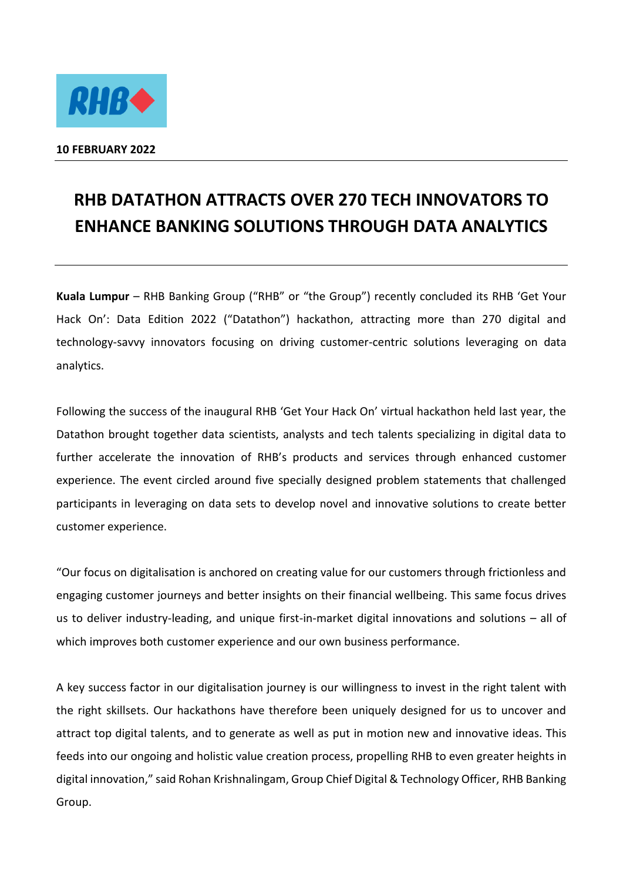

## **RHB DATATHON ATTRACTS OVER 270 TECH INNOVATORS TO ENHANCE BANKING SOLUTIONS THROUGH DATA ANALYTICS**

**Kuala Lumpur** – RHB Banking Group ("RHB" or "the Group") recently concluded its RHB 'Get Your Hack On': Data Edition 2022 ("Datathon") hackathon, attracting more than 270 digital and technology-savvy innovators focusing on driving customer-centric solutions leveraging on data analytics.

Following the success of the inaugural RHB 'Get Your Hack On' virtual hackathon held last year, the Datathon brought together data scientists, analysts and tech talents specializing in digital data to further accelerate the innovation of RHB's products and services through enhanced customer experience. The event circled around five specially designed problem statements that challenged participants in leveraging on data sets to develop novel and innovative solutions to create better customer experience.

"Our focus on digitalisation is anchored on creating value for our customers through frictionless and engaging customer journeys and better insights on their financial wellbeing. This same focus drives us to deliver industry-leading, and unique first-in-market digital innovations and solutions – all of which improves both customer experience and our own business performance.

A key success factor in our digitalisation journey is our willingness to invest in the right talent with the right skillsets. Our hackathons have therefore been uniquely designed for us to uncover and attract top digital talents, and to generate as well as put in motion new and innovative ideas. This feeds into our ongoing and holistic value creation process, propelling RHB to even greater heights in digital innovation," said Rohan Krishnalingam, Group Chief Digital & Technology Officer, RHB Banking Group.